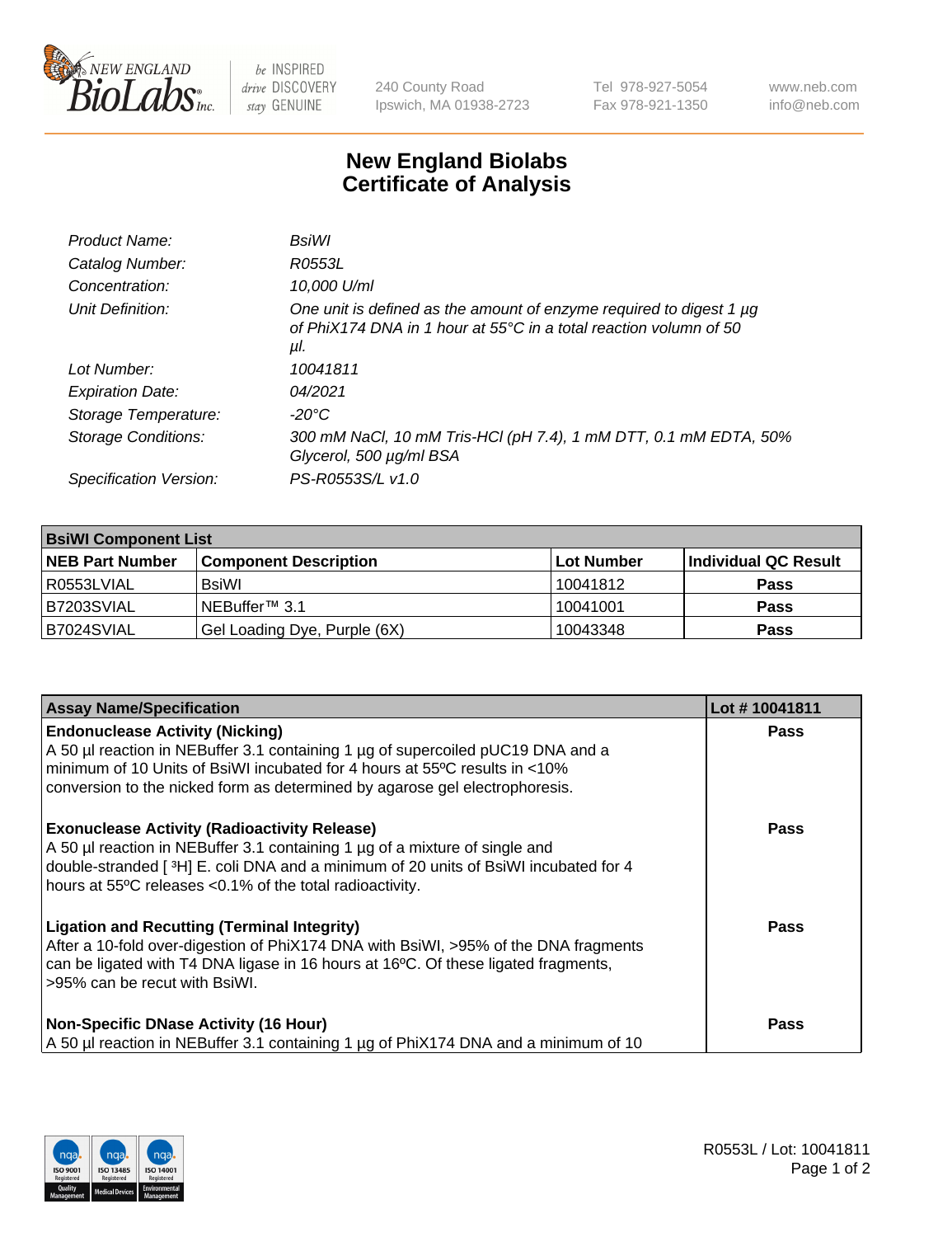

 $be$  INSPIRED drive DISCOVERY stay GENUINE

240 County Road Ipswich, MA 01938-2723 Tel 978-927-5054 Fax 978-921-1350 www.neb.com info@neb.com

## **New England Biolabs Certificate of Analysis**

| BsiWl                                                                                                                                                           |
|-----------------------------------------------------------------------------------------------------------------------------------------------------------------|
| R0553L                                                                                                                                                          |
| 10,000 U/ml                                                                                                                                                     |
| One unit is defined as the amount of enzyme required to digest 1 $\mu$ g<br>of PhiX174 DNA in 1 hour at 55 $^{\circ}$ C in a total reaction volumn of 50<br>μl. |
| 10041811                                                                                                                                                        |
| 04/2021                                                                                                                                                         |
| -20°C                                                                                                                                                           |
| 300 mM NaCl, 10 mM Tris-HCl (pH 7.4), 1 mM DTT, 0.1 mM EDTA, 50%<br>Glycerol, 500 µg/ml BSA                                                                     |
| PS-R0553S/L v1.0                                                                                                                                                |
|                                                                                                                                                                 |

| <b>BsiWI Component List</b> |                              |            |                      |  |  |
|-----------------------------|------------------------------|------------|----------------------|--|--|
| <b>INEB Part Number</b>     | <b>Component Description</b> | Lot Number | Individual QC Result |  |  |
| R0553LVIAL                  | BsiWl                        | 10041812   | <b>Pass</b>          |  |  |
| B7203SVIAL                  | NEBuffer™ 3.1                | 10041001   | <b>Pass</b>          |  |  |
| B7024SVIAL                  | Gel Loading Dye, Purple (6X) | 10043348   | <b>Pass</b>          |  |  |

| <b>Assay Name/Specification</b>                                                                                                                                                                                                                                                        | Lot #10041811 |
|----------------------------------------------------------------------------------------------------------------------------------------------------------------------------------------------------------------------------------------------------------------------------------------|---------------|
| <b>Endonuclease Activity (Nicking)</b><br>A 50 µl reaction in NEBuffer 3.1 containing 1 µg of supercoiled pUC19 DNA and a<br>minimum of 10 Units of BsiWI incubated for 4 hours at 55°C results in <10%<br>conversion to the nicked form as determined by agarose gel electrophoresis. | <b>Pass</b>   |
| <b>Exonuclease Activity (Radioactivity Release)</b><br>A 50 µl reaction in NEBuffer 3.1 containing 1 µg of a mixture of single and<br>double-stranded [3H] E. coli DNA and a minimum of 20 units of BsiWI incubated for 4<br>hours at 55°C releases <0.1% of the total radioactivity.  | <b>Pass</b>   |
| <b>Ligation and Recutting (Terminal Integrity)</b><br>After a 10-fold over-digestion of PhiX174 DNA with BsiWI, >95% of the DNA fragments<br>can be ligated with T4 DNA ligase in 16 hours at 16°C. Of these ligated fragments,<br>>95% can be recut with BsiWI.                       | <b>Pass</b>   |
| <b>Non-Specific DNase Activity (16 Hour)</b><br>A 50 µl reaction in NEBuffer 3.1 containing 1 µg of PhiX174 DNA and a minimum of 10                                                                                                                                                    | Pass          |